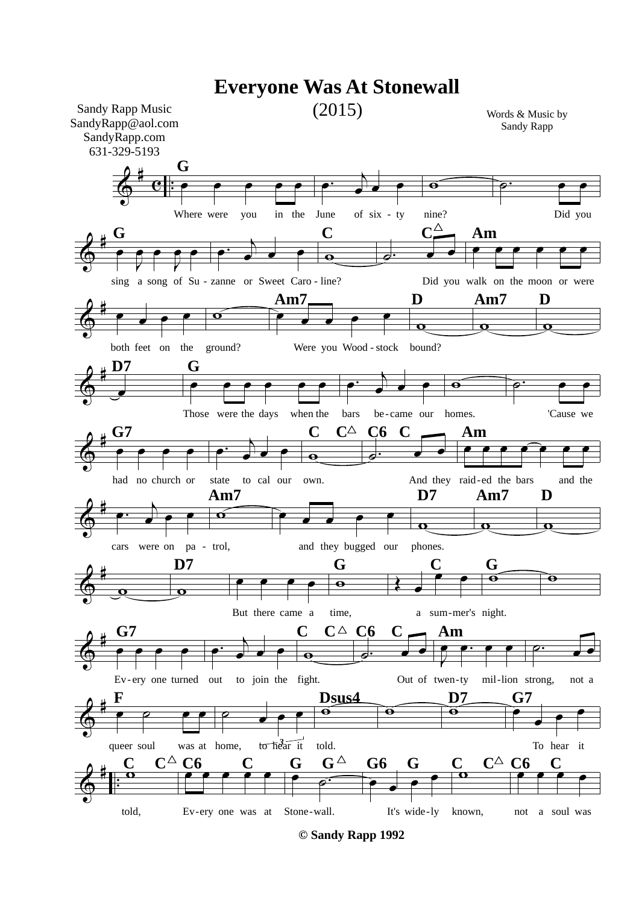

**© Sandy Rapp 1992**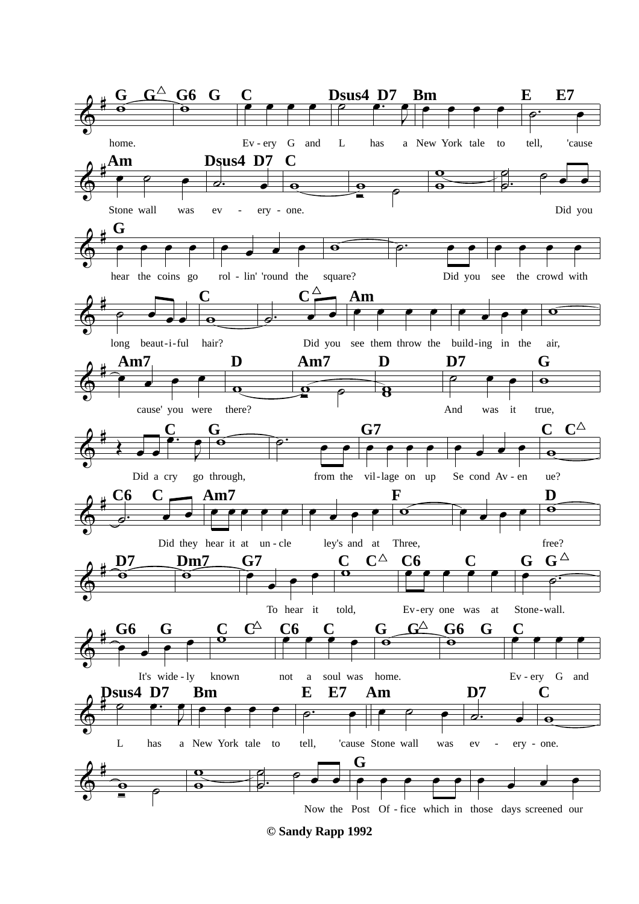

**<sup>©</sup> Sandy Rapp 1992**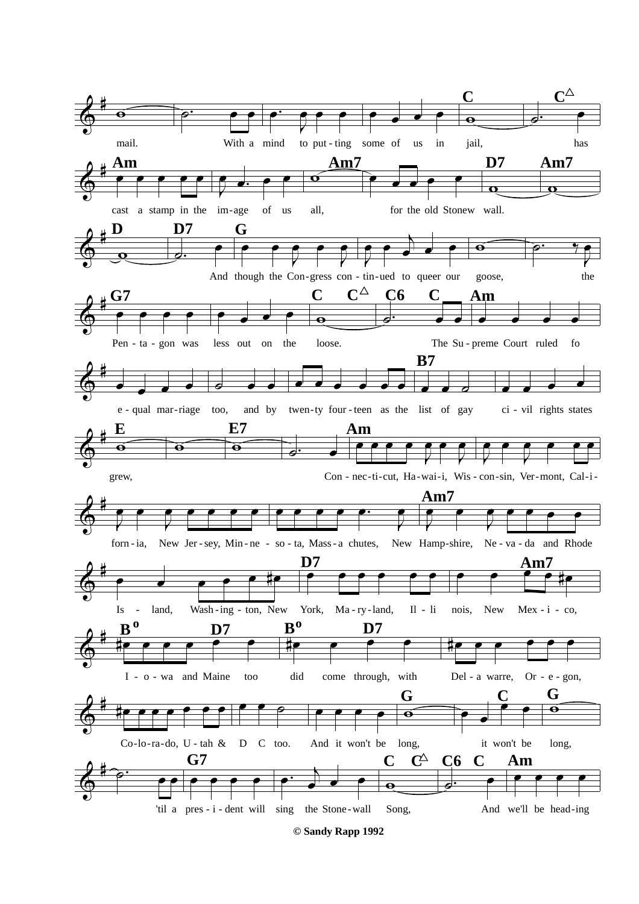

© Sandy Rapp 1992